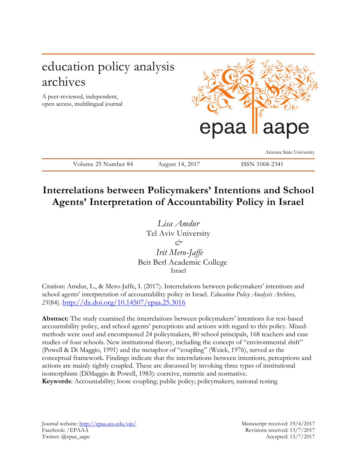# education policy analysis archives

A peer-reviewed, independent, open access, multilingual journal



Arizona State University

Volume 25 Number 84 August 14, 2017 ISSN 1068-2341

# **Interrelations between Policymakers' Intentions and School Agents' Interpretation of Accountability Policy in Israel**

*Lisa Amdur*  Tel Aviv University *& Irit Mero-Jaffe* Beit Berl Academic College Israel

Citation: Amdur, L., & Mero-Jaffe, I. (2017). Interrelations between policymakers' intentions and school agents' interpretation of accountability policy in Israel. *Education Policy Analysis Archives, 25*(84). <http://dx.doi.org/10.14507/epaa.25.3016>

**Abstract:** The study examined the interrelations between policymakers' intentions for test-based accountability policy, and school agents' perceptions and actions with regard to this policy. Mixedmethods were used and encompassed 24 policymakers, 80 school principals, 168 teachers and case studies of four schools. New institutional theory, including the concept of "environmental shift" (Powell & Di Maggio, 1991) and the metaphor of "coupling" (Weick, 1976), served as the conceptual framework. Findings indicate that the interrelations between intentions, perceptions and actions are mainly tightly coupled. These are discussed by invoking three types of institutional isomorphism (DiMaggio & Powell, 1983): coercive, mimetic and normative. **Keywords**: Accountability; loose coupling; public policy; policymakers; national testing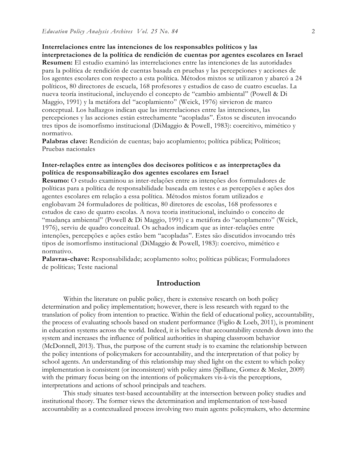**Interrelaciones entre las intenciones de los responsables políticos y las** 

**interpretaciones de la política de rendición de cuentas por agentes escolares en Israel Resumen:** El estudio examinó las interrelaciones entre las intenciones de las autoridades para la política de rendición de cuentas basada en pruebas y las percepciones y acciones de los agentes escolares con respecto a esta política. Métodos mixtos se utilizaron y abarcó a 24 políticos, 80 directores de escuela, 168 profesores y estudios de caso de cuatro escuelas. La nueva teoría institucional, incluyendo el concepto de "cambio ambiental" (Powell & Di Maggio, 1991) y la metáfora del "acoplamiento" (Weick, 1976) sirvieron de marco conceptual. Los hallazgos indican que las interrelaciones entre las intenciones, las percepciones y las acciones están estrechamente "acopladas". Éstos se discuten invocando tres tipos de isomorfismo institucional (DiMaggio & Powell, 1983): coercitivo, mimético y normativo.

Palabras clave: Rendición de cuentas; bajo acoplamiento; política pública; Políticos; Pruebas nacionales

## **Inter-relações entre as intenções dos decisores políticos e as interpretações da política de responsabilização dos agentes escolares em Israel**

**Resumo:** O estudo examinou as inter-relações entre as intenções dos formuladores de políticas para a política de responsabilidade baseada em testes e as percepções e ações dos agentes escolares em relação a essa política. Métodos mistos foram utilizados e englobavam 24 formuladores de políticas, 80 diretores de escolas, 168 professores e estudos de caso de quatro escolas. A nova teoria institucional, incluindo o conceito de "mudança ambiental" (Powell & Di Maggio, 1991) e a metáfora do "acoplamento" (Weick, 1976), serviu de quadro conceitual. Os achados indicam que as inter-relações entre intenções, percepções e ações estão bem "acopladas". Estes são discutidos invocando três tipos de isomorfismo institucional (DiMaggio & Powell, 1983): coercivo, mimético e normativo.

**Palavras-chave:** Responsabilidade; acoplamento solto; políticas públicas; Formuladores de políticas; Teste nacional

## **Introduction**

Within the literature on public policy, there is extensive research on both policy determination and policy implementation; however, there is less research with regard to the translation of policy from intention to practice. Within the field of educational policy, accountability, the process of evaluating schools based on student performance (Figlio & Loeb, 2011), is prominent in education systems across the world. Indeed, it is believe that accountability extends down into the system and increases the influence of political authorities in shaping classroom behavior (McDonnell, 2013). Thus, the purpose of the current study is to examine the relationship between the policy intentions of policymakers for accountability, and the interpretation of that policy by school agents. An understanding of this relationship may shed light on the extent to which policy implementation is consistent (or inconsistent) with policy aims (Spillane, Gomez & Mesler, 2009) with the primary focus being on the intentions of policymakers vis-à-vis the perceptions, interpretations and actions of school principals and teachers.

This study situates test-based accountability at the intersection between policy studies and institutional theory. The former views the determination and implementation of test-based accountability as a contextualized process involving two main agents: policymakers, who determine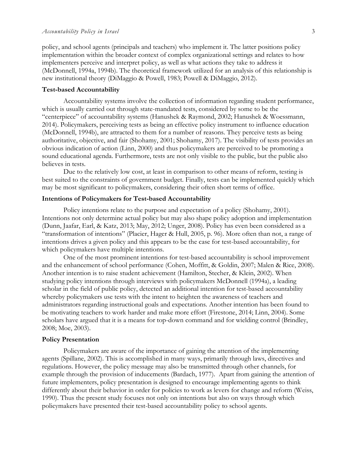policy, and school agents (principals and teachers) who implement it. The latter positions policy implementation within the broader context of complex organizational settings and relates to how implementers perceive and interpret policy, as well as what actions they take to address it (McDonnell, 1994a, 1994b). The theoretical framework utilized for an analysis of this relationship is new institutional theory (DiMaggio & Powell, 1983; Powell & DiMaggio, 2012).

## **Test-based Accountability**

Accountability systems involve the collection of information regarding student performance, which is usually carried out through state-mandated tests, considered by some to be the "centerpiece" of accountability systems (Hanushek & Raymond, 2002; Hanushek & Woessmann, 2014). Policymakers, perceiving tests as being an effective policy instrument to influence education (McDonnell, 1994b), are attracted to them for a number of reasons. They perceive tests as being authoritative, objective, and fair (Shohamy, 2001; Shohamy, 2017). The visibility of tests provides an obvious indication of action (Linn, 2000) and thus policymakers are perceived to be promoting a sound educational agenda. Furthermore, tests are not only visible to the public, but the public also believes in tests.

Due to the relatively low cost, at least in comparison to other means of reform, testing is best suited to the constraints of government budget. Finally, tests can be implemented quickly which may be most significant to policymakers, considering their often short terms of office.

### **Intentions of Policymakers for Test-based Accountability**

Policy intentions relate to the purpose and expectation of a policy (Shohamy, 2001). Intentions not only determine actual policy but may also shape policy adoption and implementation (Dunn, Jaafar, Earl, & Katz, 2013; May, 2012; Unger, 2008). Policy has even been considered as a "transformation of intentions" (Placier, Hager & Hull, 2005, p. 96). More often than not, a range of intentions drives a given policy and this appears to be the case for test-based accountability, for which policymakers have multiple intentions.

One of the most prominent intentions for test-based accountability is school improvement and the enhancement of school performance (Cohen, Moffitt, & Goldin, 2007; Malen & Rice, 2008). Another intention is to raise student achievement (Hamilton, Stecher, & Klein, 2002). When studying policy intentions through interviews with policymakers McDonnell (1994a), a leading scholar in the field of public policy, detected an additional intention for test-based accountability whereby policymakers use tests with the intent to heighten the awareness of teachers and administrators regarding instructional goals and expectations. Another intention has been found to be motivating teachers to work harder and make more effort (Firestone, 2014; Linn, 2004). Some scholars have argued that it is a means for top-down command and for wielding control (Brindley, 2008; Moe, 2003).

## **Policy Presentation**

Policymakers are aware of the importance of gaining the attention of the implementing agents (Spillane, 2002). This is accomplished in many ways, primarily through laws, directives and regulations. However, the policy message may also be transmitted through other channels, for example through the provision of inducements (Bardach, 1977). Apart from gaining the attention of future implementers, policy presentation is designed to encourage implementing agents to think differently about their behavior in order for policies to work as levers for change and reform (Weiss, 1990). Thus the present study focuses not only on intentions but also on ways through which policymakers have presented their test-based accountability policy to school agents.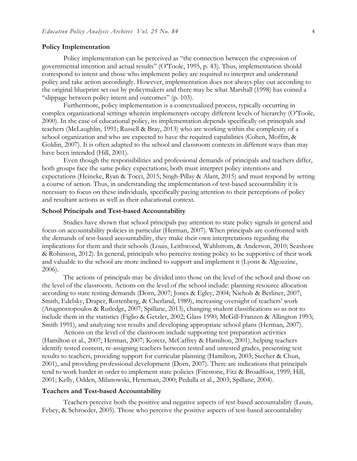#### **Policy Implementation**

Policy implementation can be perceived as "the connection between the expression of governmental intention and actual results" (O'Toole, 1995, p. 43). Thus, implementation should correspond to intent and those who implement policy are required to interpret and understand policy and take action accordingly. However, implementation does not always play out according to the original blueprint set out by policymakers and there may be what Marshall (1998) has coined a "slippage between policy intent and outcomes" (p. 103).

Furthermore, policy implementation is a contextualized process, typically occurring in complex organizational settings wherein implementers occupy different levels of hierarchy (O'Toole, 2000). In the case of educational policy, its implementation depends specifically on principals and teachers (McLaughlin, 1991; Russell & Bray, 2013) who are working within the complexity of a school organization and who are expected to have the required capabilities (Cohen, Moffitt, & Goldin, 2007). It is often adapted to the school and classroom contexts in different ways than may have been intended (Hill, 2001).

Even though the responsibilities and professional demands of principals and teachers differ, both groups face the same policy expectations; both must interpret policy intentions and expectations (Heineke, Ryan & Tocci, 2015; Singh-Pillay & Alant, 2015) and must respond by setting a course of action. Thus, in understanding the implementation of test-based accountability it is necessary to focus on these individuals, specifically paying attention to their perceptions of policy and resultant actions as well as their educational context.

### **School Principals and Test-based Accountability**

Studies have shown that school principals pay attention to state policy signals in general and focus on accountability policies in particular (Herman, 2007). When principals are confronted with the demands of test-based accountability, they make their own interpretations regarding the implications for them and their schools (Louis, Leithwood, Wahlstrom, & Anderson, 2010; Seashore & Robinson, 2012). In general, principals who perceive testing policy to be supportive of their work and valuable to the school are more inclined to support and implement it (Lyons & Algozzine, 2006).

The actions of principals may be divided into those on the level of the school and those on the level of the classroom. Actions on the level of the school include: planning resource allocation according to state testing demands (Dorn, 2007; Jones & Egley, 2004; Nichols & Berliner, 2007; Smith, Edelsky, Draper, Rottenberg, & Cherland, 1989), increasing oversight of teachers' work (Anagnostopoulos & Rutledge, 2007; Spillane, 2013), changing student classifications so as not to include them in the statistics (Figlio & Getzler, 2002; Glass 1990; McGill-Franzen & Allington 1993; Smith 1991), and analyzing test results and developing appropriate school plans (Herman, 2007).

Actions on the level of the classroom include supporting test preparation activities (Hamilton et al., 2007; Herman, 2007; Koretz, McCaffrey & Hamilton, 2001), helping teachers identify tested content, re-assigning teachers between tested and untested grades, presenting test results to teachers, providing support for curricular planning (Hamilton, 2003; Stecher & Chun, 2001), and providing professional development (Dorn, 2007). There are indications that principals tend to work harder in order to implement state policies (Firestone, Fitz & Broadfoot, 1999; Hill, 2001; Kelly, Odden, Milanowski, Heneman, 2000; Pedulla et al., 2003; Spillane, 2004).

#### **Teachers and Test-based Accountability**

Teachers perceive both the positive and negative aspects of test-based accountability (Louis, Febey, & Schroeder, 2005). Those who perceive the positive aspects of test-based accountability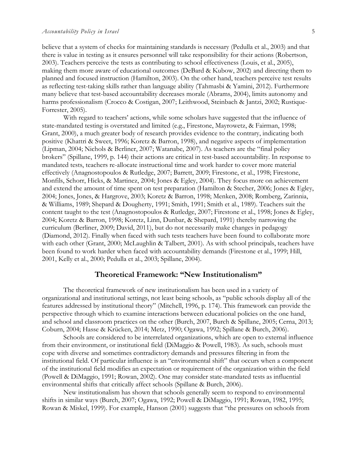believe that a system of checks for maintaining standards is necessary (Pedulla et al., 2003) and that there is value in testing as it ensures personnel will take responsibility for their actions (Robertson, 2003). Teachers perceive the tests as contributing to school effectiveness (Louis, et al., 2005), making them more aware of educational outcomes (DeBard & Kubow, 2002) and directing them to planned and focused instruction (Hamilton, 2003). On the other hand, teachers perceive test results as reflecting test-taking skills rather than language ability (Tahmasbi & Yamini, 2012). Furthermore many believe that test-based accountability decreases morale (Abrams, 2004), limits autonomy and harms professionalism (Crocco & Costigan, 2007; Leithwood, Steinbach & Jantzi, 2002; Rustique-Forrester, 2005).

With regard to teachers' actions, while some scholars have suggested that the influence of state-mandated testing is overstated and limited (e.g., Firestone, Mayrowetz, & Fairman, 1998; Grant, 2000), a much greater body of research provides evidence to the contrary, indicating both positive (Khattri & Sweet, 1996; Koretz & Barron, 1998), and negative aspects of implementation (Lipman, 2004; Nichols & Berliner, 2007; Watanabe, 2007). As teachers are the "final policy brokers" (Spillane, 1999, p. 144) their actions are critical in test-based accountability. In response to mandated tests, teachers re-allocate instructional time and work harder to cover more material effectively (Anagnostopoulos & Rutledge, 2007; Barrett, 2009; Firestone, et al., 1998; Firestone, Monfils, Schorr, Hicks, & Martinez, 2004; Jones & Egley, 2004). They focus more on achievement and extend the amount of time spent on test preparation (Hamilton & Stecher, 2006; Jones & Egley, 2004; Jones, Jones, & Hargrove, 2003; Koretz & Barron, 1998; Menken, 2008; Romberg, Zarinnia, & Williams, 1989; Shepard & Dougherty, 1991; Smith, 1991; Smith et al., 1989). Teachers suit the content taught to the test (Anagnostopoulos & Rutledge, 2007; Firestone et al., 1998; Jones & Egley, 2004; Koretz & Barron, 1998; Koretz, Linn, Dunbar, & Shepard, 1991) thereby narrowing the curriculum (Berliner, 2009; David, 2011), but do not necessarily make changes in pedagogy (Diamond, 2012). Finally when faced with such tests teachers have been found to collaborate more with each other (Grant, 2000; McLaughlin & Talbert, 2001). As with school principals, teachers have been found to work harder when faced with accountability demands (Firestone et al., 1999; Hill, 2001, Kelly et al., 2000; Pedulla et al., 2003; Spillane, 2004).

## **Theoretical Framework: "New Institutionalism"**

The theoretical framework of new institutionalism has been used in a variety of organizational and institutional settings, not least being schools, as "public schools display all of the features addressed by institutional theory" (Mitchell, 1996, p. 174). This framework can provide the perspective through which to examine interactions between educational policies on the one hand, and school and classroom practices on the other (Burch, 2007, Burch & Spillane, 2005; Cerna, 2013; Coburn, 2004; Hasse & Krücken, 2014; Metz, 1990; Ogawa, 1992; Spillane & Burch, 2006).

Schools are considered to be interrelated organizations, which are open to external influence from their environment, or institutional field (DiMaggio & Powell, 1983). As such, schools must cope with diverse and sometimes contradictory demands and pressures filtering in from the institutional field. Of particular influence is an "environmental shift" that occurs when a component of the institutional field modifies an expectation or requirement of the organization within the field (Powell & DiMaggio, 1991; Rowan, 2002). One may consider state-mandated tests as influential environmental shifts that critically affect schools (Spillane & Burch, 2006).

New institutionalism has shown that schools generally seem to respond to environmental shifts in similar ways (Burch, 2007; Ogawa, 1992; Powell & DiMaggio, 1991; Rowan, 1982, 1995; Rowan & Miskel, 1999). For example, Hanson (2001) suggests that "the pressures on schools from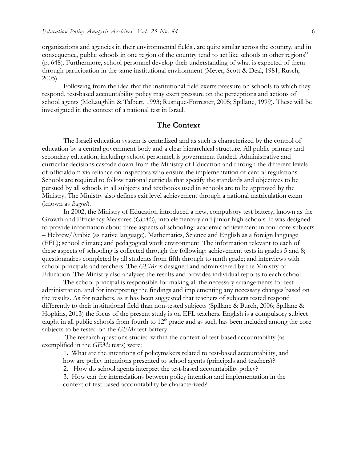organizations and agencies in their environmental fields...are quite similar across the country, and in consequence, public schools in one region of the country tend to act like schools in other regions" (p. 648). Furthermore, school personnel develop their understanding of what is expected of them through participation in the same institutional environment (Meyer, Scott & Deal, 1981; Rusch, 2005).

Following from the idea that the institutional field exerts pressure on schools to which they respond, test-based accountability policy may exert pressure on the perceptions and actions of school agents (McLaughlin & Talbert, 1993; Rustique-Forrester, 2005; Spillane, 1999). These will be investigated in the context of a national test in Israel.

## **The Context**

The Israeli education system is centralized and as such is characterized by the control of education by a central government body and a clear hierarchical structure. All public primary and secondary education, including school personnel, is government funded. Administrative and curricular decisions cascade down from the Ministry of Education and through the different levels of officialdom via reliance on inspectors who ensure the implementation of central regulations. Schools are required to follow national curricula that specify the standards and objectives to be pursued by all schools in all subjects and textbooks used in schools are to be approved by the Ministry. The Ministry also defines exit level achievement through a national matriculation exam (known as *Bagrut*).

In 2002, the Ministry of Education introduced a new, compulsory test battery, known as the Growth and Efficiency Measures (*GEMs*), into elementary and junior high schools. It was designed to provide information about three aspects of schooling: academic achievement in four core subjects – Hebrew/Arabic (as native language), Mathematics, Science and English as a foreign language (EFL); school climate; and pedagogical work environment. The information relevant to each of these aspects of schooling is collected through the following: achievement tests in grades 5 and 8; questionnaires completed by all students from fifth through to ninth grade; and interviews with school principals and teachers. The *GEMs* is designed and administered by the Ministry of Education. The Ministry also analyzes the results and provides individual reports to each school.

The school principal is responsible for making all the necessary arrangements for test administration, and for interpreting the findings and implementing any necessary changes based on the results. As for teachers, as it has been suggested that teachers of subjects tested respond differently to their institutional field than non-tested subjects (Spillane & Burch, 2006; Spillane & Hopkins, 2013) the focus of the present study is on EFL teachers. English is a compulsory subject taught in all public schools from fourth to 12<sup>th</sup> grade and as such has been included among the core subjects to be tested on the *GEMs* test battery.

The research questions studied within the context of test-based accountability (as exemplified in the *GEMs* tests) were:

1. What are the intentions of policymakers related to test-based accountability, and how are policy intentions presented to school agents (principals and teachers)?

2. How do school agents interpret the test-based accountability policy?

3. How can the interrelations between policy intention and implementation in the context of test-based accountability be characterized?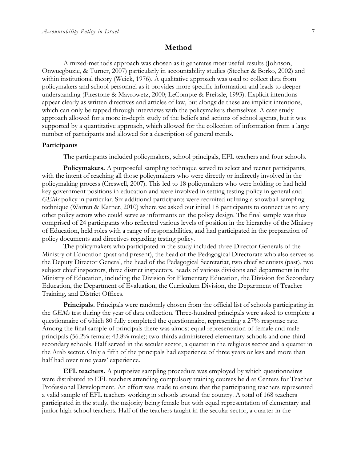## **Method**

A mixed-methods approach was chosen as it generates most useful results (Johnson, Onwuegbuzie, & Turner, 2007) particularly in accountability studies (Stecher & Borko, 2002) and within institutional theory (Weick, 1976). A qualitative approach was used to collect data from policymakers and school personnel as it provides more specific information and leads to deeper understanding (Firestone & Mayrowetz, 2000; LeCompte & Preissle, 1993). Explicit intentions appear clearly as written directives and articles of law, but alongside these are implicit intentions, which can only be tapped through interviews with the policymakers themselves. A case study approach allowed for a more in-depth study of the beliefs and actions of school agents, but it was supported by a quantitative approach, which allowed for the collection of information from a large number of participants and allowed for a description of general trends.

### **Participants**

The participants included policymakers, school principals, EFL teachers and four schools.

**Policymakers.** A purposeful sampling technique served to select and recruit participants, with the intent of reaching all those policymakers who were directly or indirectly involved in the policymaking process (Creswell, 2007). This led to 18 policymakers who were holding or had held key government positions in education and were involved in setting testing policy in general and *GEMs* policy in particular. Six additional participants were recruited utilizing a snowball sampling technique (Warren & Karner, 2010) where we asked our initial 18 participants to connect us to any other policy actors who could serve as informants on the policy design. The final sample was thus comprised of 24 participants who reflected various levels of position in the hierarchy of the Ministry of Education, held roles with a range of responsibilities, and had participated in the preparation of policy documents and directives regarding testing policy.

The policymakers who participated in the study included three Director Generals of the Ministry of Education (past and present), the head of the Pedagogical Directorate who also serves as the Deputy Director General, the head of the Pedagogical Secretariat, two chief scientists (past), two subject chief inspectors, three district inspectors, heads of various divisions and departments in the Ministry of Education, including the Division for Elementary Education, the Division for Secondary Education, the Department of Evaluation, the Curriculum Division, the Department of Teacher Training, and District Offices.

**Principals.** Principals were randomly chosen from the official list of schools participating in the *GEMs* test during the year of data collection. Three-hundred principals were asked to complete a questionnaire of which 80 fully completed the questionnaire, representing a 27% response rate. Among the final sample of principals there was almost equal representation of female and male principals (56.2% female; 43.8% male); two-thirds administered elementary schools and one-third secondary schools. Half served in the secular sector, a quarter in the religious sector and a quarter in the Arab sector. Only a fifth of the principals had experience of three years or less and more than half had over nine years' experience.

**EFL teachers.** A purposive sampling procedure was employed by which questionnaires were distributed to EFL teachers attending compulsory training courses held at Centers for Teacher Professional Development. An effort was made to ensure that the participating teachers represented a valid sample of EFL teachers working in schools around the country. A total of 168 teachers participated in the study, the majority being female but with equal representation of elementary and junior high school teachers. Half of the teachers taught in the secular sector, a quarter in the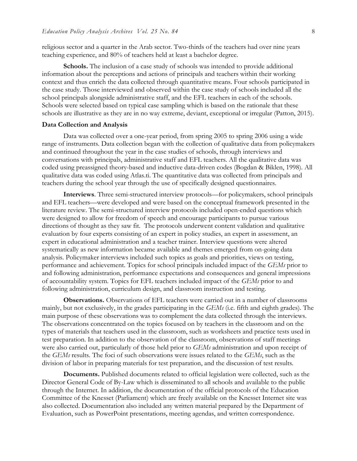religious sector and a quarter in the Arab sector. Two-thirds of the teachers had over nine years teaching experience, and 80% of teachers held at least a bachelor degree.

**Schools.** The inclusion of a case study of schools was intended to provide additional information about the perceptions and actions of principals and teachers within their working context and thus enrich the data collected through quantitative means. Four schools participated in the case study. Those interviewed and observed within the case study of schools included all the school principals alongside administrative staff, and the EFL teachers in each of the schools. Schools were selected based on typical case sampling which is based on the rationale that these schools are illustrative as they are in no way extreme, deviant, exceptional or irregular (Patton, 2015).

#### **Data Collection and Analysis**

Data was collected over a one-year period, from spring 2005 to spring 2006 using a wide range of instruments. Data collection began with the collection of qualitative data from policymakers and continued throughout the year in the case studies of schools, through interviews and conversations with principals, administrative staff and EFL teachers. All the qualitative data was coded using preassigned theory-based and inductive data-driven codes (Bogdan & Biklen, 1998). All qualitative data was coded using Atlas.ti. The quantitative data was collected from principals and teachers during the school year through the use of specifically designed questionnaires.

**Interviews**. Three semi-structured interview protocols—for policymakers, school principals and EFL teachers—were developed and were based on the conceptual framework presented in the literature review. The semi-structured interview protocols included open-ended questions which were designed to allow for freedom of speech and encourage participants to pursue various directions of thought as they saw fit. The protocols underwent content validation and qualitative evaluation by four experts consisting of an expert in policy studies, an expert in assessment, an expert in educational administration and a teacher trainer. Interview questions were altered systematically as new information became available and themes emerged from on-going data analysis. Policymaker interviews included such topics as goals and priorities, views on testing, performance and achievement. Topics for school principals included impact of the *GEMs* prior to and following administration, performance expectations and consequences and general impressions of accountability system. Topics for EFL teachers included impact of the *GEMs* prior to and following administration, curriculum design, and classroom instruction and testing.

**Observations.** Observations of EFL teachers were carried out in a number of classrooms mainly, but not exclusively, in the grades participating in the *GEMs* (i.e. fifth and eighth grades). The main purpose of these observations was to complement the data collected through the interviews. The observations concentrated on the topics focused on by teachers in the classroom and on the types of materials that teachers used in the classroom, such as worksheets and practice tests used in test preparation. In addition to the observation of the classroom, observations of staff meetings were also carried out, particularly of those held prior to *GEMs* administration and upon receipt of the *GEMs* results. The foci of such observations were issues related to the *GEMs*, such as the division of labor in preparing materials for test preparation, and the discussion of test results.

**Documents.** Published documents related to official legislation were collected, such as the Director General Code of By-Law which is disseminated to all schools and available to the public through the Internet. In addition, the documentation of the official protocols of the Education Committee of the Knesset (Parliament) which are freely available on the Knesset Internet site was also collected. Documentation also included any written material prepared by the Department of Evaluation, such as PowerPoint presentations, meeting agendas, and written correspondence.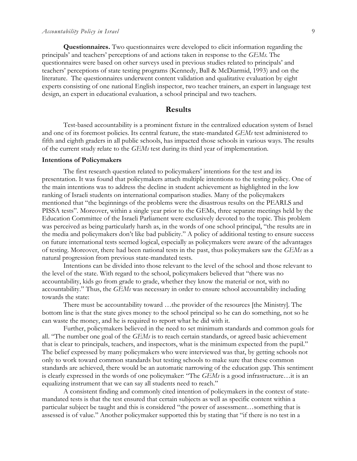**Questionnaires.** Two questionnaires were developed to elicit information regarding the principals' and teachers' perceptions of and actions taken in response to the *GEMs*. The questionnaires were based on other surveys used in previous studies related to principals' and teachers' perceptions of state testing programs (Kennedy, Ball & McDiarmid, 1993) and on the literature. The questionnaires underwent content validation and qualitative evaluation by eight experts consisting of one national English inspector, two teacher trainers, an expert in language test design, an expert in educational evaluation, a school principal and two teachers.

## **Results**

Test-based accountability is a prominent fixture in the centralized education system of Israel and one of its foremost policies. Its central feature, the state-mandated *GEMs* test administered to fifth and eighth graders in all public schools, has impacted those schools in various ways. The results of the current study relate to the *GEMs* test during its third year of implementation.

#### **Intentions of Policymakers**

The first research question related to policymakers' intentions for the test and its presentation. It was found that policymakers attach multiple intentions to the testing policy. One of the main intentions was to address the decline in student achievement as highlighted in the low ranking of Israeli students on international comparison studies. Many of the policymakers mentioned that "the beginnings of the problems were the disastrous results on the PEARLS and PISSA tests". Moreover, within a single year prior to the GEMs, three separate meetings held by the Education Committee of the Israeli Parliament were exclusively devoted to the topic. This problem was perceived as being particularly harsh as, in the words of one school principal, "the results are in the media and policymakers don't like bad publicity." A policy of additional testing to ensure success on future international tests seemed logical, especially as policymakers were aware of the advantages of testing. Moreover, there had been national tests in the past, thus policymakers saw the *GEMs* as a natural progression from previous state-mandated tests.

Intentions can be divided into those relevant to the level of the school and those relevant to the level of the state. With regard to the school, policymakers believed that "there was no accountability, kids go from grade to grade, whether they know the material or not, with no accountability." Thus, the *GEMs* was necessary in order to ensure school accountability including towards the state:

There must be accountability toward …the provider of the resources [the Ministry]. The bottom line is that the state gives money to the school principal so he can do something, not so he can waste the money, and he is required to report what he did with it.

Further, policymakers believed in the need to set minimum standards and common goals for all. "The number one goal of the *GEMs* is to reach certain standards, or agreed basic achievement that is clear to principals, teachers, and inspectors, what is the minimum expected from the pupil." The belief expressed by many policymakers who were interviewed was that, by getting schools not only to work toward common standards but testing schools to make sure that these common standards are achieved, there would be an automatic narrowing of the education gap. This sentiment is clearly expressed in the words of one policymaker: "The *GEMs* is a good infrastructure…it is an equalizing instrument that we can say all students need to reach."

A consistent finding and commonly cited intention of policymakers in the context of statemandated tests is that the test ensured that certain subjects as well as specific content within a particular subject be taught and this is considered "the power of assessment…something that is assessed is of value." Another policymaker supported this by stating that "if there is no test in a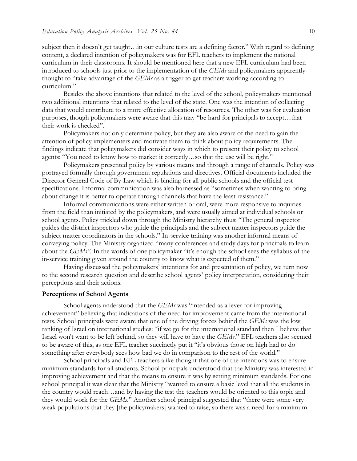subject then it doesn't get taught…in our culture tests are a defining factor." With regard to defining content, a declared intention of policymakers was for EFL teachers to implement the national curriculum in their classrooms. It should be mentioned here that a new EFL curriculum had been introduced to schools just prior to the implementation of the *GEMs* and policymakers apparently thought to "take advantage of the *GEMs* as a trigger to get teachers working according to curriculum."

Besides the above intentions that related to the level of the school, policymakers mentioned two additional intentions that related to the level of the state. One was the intention of collecting data that would contribute to a more effective allocation of resources. The other was for evaluation purposes, though policymakers were aware that this may "be hard for principals to accept…that their work is checked".

Policymakers not only determine policy, but they are also aware of the need to gain the attention of policy implementers and motivate them to think about policy requirements. The findings indicate that policymakers did consider ways in which to present their policy to school agents: "You need to know how to market it correctly…so that the use will be right."

Policymakers presented policy by various means and through a range of channels. Policy was portrayed formally through government regulations and directives. Official documents included the Director General Code of By-Law which is binding for all public schools and the official test specifications. Informal communication was also harnessed as "sometimes when wanting to bring about change it is better to operate through channels that have the least resistance."

Informal communications were either written or oral, were more responsive to inquiries from the field than initiated by the policymakers, and were usually aimed at individual schools or school agents. Policy trickled down through the Ministry hierarchy thus: "The general inspector guides the district inspectors who guide the principals and the subject matter inspectors guide the subject matter coordinators in the schools." In-service training was another informal means of conveying policy. The Ministry organized "many conferences and study days for principals to learn about the *GEMs*". In the words of one policymaker "it's enough the school sees the syllabus of the in-service training given around the country to know what is expected of them."

Having discussed the policymakers' intentions for and presentation of policy, we turn now to the second research question and describe school agents' policy interpretation, considering their perceptions and their actions.

#### **Perceptions of School Agents**

School agents understood that the *GEMs* was "intended as a lever for improving achievement" believing that indications of the need for improvement came from the international tests. School principals were aware that one of the driving forces behind the *GEMs* was the low ranking of Israel on international studies: "if we go for the international standard then I believe that Israel won't want to be left behind, so they will have to have the *GEMs*." EFL teachers also seemed to be aware of this, as one EFL teacher succinctly put it "it's obvious those on high had to do something after everybody sees how bad we do in comparison to the rest of the world."

School principals and EFL teachers alike thought that one of the intentions was to ensure minimum standards for all students. School principals understood that the Ministry was interested in improving achievement and that the means to ensure it was by setting minimum standards. For one school principal it was clear that the Ministry "wanted to ensure a basic level that all the students in the country would reach…and by having the test the teachers would be oriented to this topic and they would work for the *GEMs*." Another school principal suggested that "there were some very weak populations that they [the policymakers] wanted to raise, so there was a need for a minimum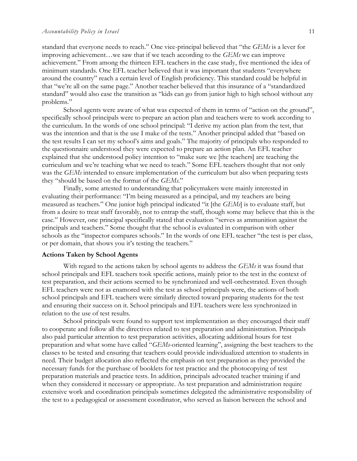standard that everyone needs to reach." One vice-principal believed that "the *GEMs* is a lever for improving achievement…we saw that if we teach according to the *GEMs* we can improve achievement." From among the thirteen EFL teachers in the case study, five mentioned the idea of minimum standards. One EFL teacher believed that it was important that students "everywhere around the country" reach a certain level of English proficiency. This standard could be helpful in that "we're all on the same page." Another teacher believed that this insurance of a "standardized standard" would also ease the transition as "kids can go from junior high to high school without any problems."

School agents were aware of what was expected of them in terms of "action on the ground", specifically school principals were to prepare an action plan and teachers were to work according to the curriculum. In the words of one school principal: "I derive my action plan from the test, that was the intention and that is the use I make of the tests." Another principal added that "based on the test results I can set my school's aims and goals." The majority of principals who responded to the questionnaire understood they were expected to prepare an action plan. An EFL teacher explained that she understood policy intention to "make sure we [the teachers] are teaching the curriculum and we're teaching what we need to teach." Some EFL teachers thought that not only was the *GEMs* intended to ensure implementation of the curriculum but also when preparing tests they "should be based on the format of the *GEMs*."

Finally, some attested to understanding that policymakers were mainly interested in evaluating their performance: "I'm being measured as a principal, and my teachers are being measured as teachers." One junior high principal indicated "it [the *GEMs*] is to evaluate staff, but from a desire to treat staff favorably, not to entrap the staff, though some may believe that this is the case." However, one principal specifically stated that evaluation "serves as ammunition against the principals and teachers." Some thought that the school is evaluated in comparison with other schools as the "inspector compares schools." In the words of one EFL teacher "the test is per class, or per domain, that shows you it's testing the teachers."

#### **Actions Taken by School Agents**

With regard to the actions taken by school agents to address the *GEMs* it was found that school principals and EFL teachers took specific actions, mainly prior to the test in the context of test preparation, and their actions seemed to be synchronized and well-orchestrated. Even though EFL teachers were not as enamored with the test as school principals were, the actions of both school principals and EFL teachers were similarly directed toward preparing students for the test and ensuring their success on it. School principals and EFL teachers were less synchronized in relation to the use of test results.

School principals were found to support test implementation as they encouraged their staff to cooperate and follow all the directives related to test preparation and administration. Principals also paid particular attention to test preparation activities, allocating additional hours for test preparation and what some have called "*GEMs*-oriented learning", assigning the best teachers to the classes to be tested and ensuring that teachers could provide individualized attention to students in need. Their budget allocation also reflected the emphasis on test preparation as they provided the necessary funds for the purchase of booklets for test practice and the photocopying of test preparation materials and practice tests. In addition, principals advocated teacher training if and when they considered it necessary or appropriate. As test preparation and administration require extensive work and coordination principals sometimes delegated the administrative responsibility of the test to a pedagogical or assessment coordinator, who served as liaison between the school and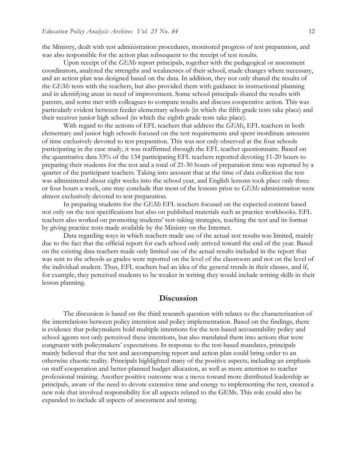the Ministry, dealt with test administration procedures, monitored progress of test preparation, and was also responsible for the action plan subsequent to the receipt of test results.

Upon receipt of the *GEMs* report principals, together with the pedagogical or assessment coordinators, analyzed the strengths and weaknesses of their school, made changes where necessary, and an action plan was designed based on the data. In addition, they not only shared the results of the *GEMs* tests with the teachers, but also provided them with guidance in instructional planning and in identifying areas in need of improvement. Some school principals shared the results with parents, and some met with colleagues to compare results and discuss cooperative action. This was particularly evident between feeder elementary schools (in which the fifth grade tests take place) and their receiver junior high school (in which the eighth grade tests take place).

With regard to the actions of EFL teachers that address the *GEMs*, EFL teachers in both elementary and junior high schools focused on the test requirements and spent inordinate amounts of time exclusively devoted to test preparation. This was not only observed at the four schools participating in the case study, it was reaffirmed through the EFL teacher questionnaire. Based on the quantitative data 33% of the 134 participating EFL teachers reported devoting 11-20 hours to preparing their students for the test and a total of 21-30 hours of preparation time was reported by a quarter of the participant teachers. Taking into account that at the time of data collection the test was administered about eight weeks into the school year, and English lessons took place only three or four hours a week, one may conclude that most of the lessons prior to *GEMs* administration were almost exclusively devoted to test preparation.

In preparing students for the *GEMs* EFL teachers focused on the expected content based not only on the test specifications but also on published materials such as practice workbooks. EFL teachers also worked on promoting students' test-taking strategies, teaching the test and its format by giving practice tests made available by the Ministry on the Internet.

Data regarding ways in which teachers made use of the actual test results was limited, mainly due to the fact that the official report for each school only arrived toward the end of the year. Based on the existing data teachers made only limited use of the actual results included in the report that was sent to the schools as grades were reported on the level of the classroom and not on the level of the individual student. Thus, EFL teachers had an idea of the general trends in their classes, and if, for example, they perceived students to be weaker in writing they would include writing skills in their lesson planning.

## **Discussion**

The discussion is based on the third research question with relates to the characterization of the interrelations between policy intention and policy implementation. Based on the findings, there is evidence that policymakers hold multiple intentions for the test-based accountability policy and school agents not only perceived these intentions, but also translated them into actions that were congruent with policymakers' expectations. In response to the test-based mandates, principals mainly believed that the test and accompanying report and action plan could bring order to an otherwise chaotic reality. Principals highlighted many of the positive aspects, including an emphasis on staff cooperation and better-planned budget allocation, as well as more attention to teacher professional training. Another positive outcome was a move toward more distributed leadership as principals, aware of the need to devote extensive time and energy to implementing the test, created a new role that involved responsibility for all aspects related to the GEMs. This role could also be expanded to include all aspects of assessment and testing.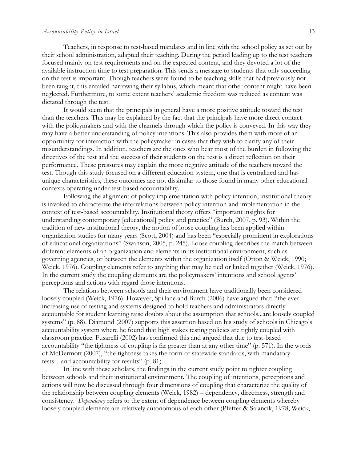#### *Accountability Policy in Israel* 13

Teachers, in response to test-based mandates and in line with the school policy as set out by their school administration, adapted their teaching. During the period leading up to the test teachers focused mainly on test requirements and on the expected content, and they devoted a lot of the available instruction time to test preparation. This sends a message to students that only succeeding on the test is important. Though teachers were found to be teaching skills that had previously not been taught, this entailed narrowing their syllabus, which meant that other content might have been neglected. Furthermore, to some extent teachers' academic freedom was reduced as content was dictated through the test.

It would seem that the principals in general have a more positive attitude toward the test than the teachers. This may be explained by the fact that the principals have more direct contact with the policymakers and with the channels through which the policy is conveyed. In this way they may have a better understanding of policy intentions. This also provides them with more of an opportunity for interaction with the policymaker in cases that they wish to clarify any of their misunderstandings. In addition, teachers are the ones who bear most of the burden in following the directives of the test and the success of their students on the test is a direct reflection on their performance. These pressures may explain the more negative attitude of the teachers toward the test. Though this study focused on a different education system, one that is centralized and has unique characteristics, these outcomes are not dissimilar to those found in many other educational contexts operating under test-based accountability.

Following the alignment of policy implementation with policy intention, institutional theory is invoked to characterize the interrelations between policy intention and implementation in the context of test-based accountability. Institutional theory offers "important insights for understanding contemporary [educational] policy and practice" (Burch, 2007, p. 93). Within the tradition of new institutional theory, the notion of loose coupling has been applied within organization studies for many years (Scott, 2004) and has been "especially prominent in explorations of educational organizations" (Swanson, 2005, p. 245). Loose coupling describes the match between different elements of an organization and elements in its institutional environment, such as governing agencies, or between the elements within the organization itself (Orton & Weick, 1990; Weick, 1976). Coupling elements refer to anything that may be tied or linked together (Weick, 1976). In the current study the coupling elements are the policymakers' intentions and school agents' perceptions and actions with regard those intentions.

The relations between schools and their environment have traditionally been considered loosely coupled (Weick, 1976). However, Spillane and Burch (2006) have argued that: "the ever increasing use of testing and systems designed to hold teachers and administrators directly accountable for student learning raise doubts about the assumption that schools...are loosely coupled systems" (p. 88). Diamond (2007) supports this assertion based on his study of schools in Chicago's accountability system where he found that high stakes testing policies are tightly coupled with classroom practice. Fusarelli (2002) has confirmed this and argued that due to test-based accountability "the tightness of coupling is far greater than at any other time" (p. 571). In the words of McDermott (2007), "the tightness takes the form of statewide standards, with mandatory tests…and accountability for results" (p. 81).

In line with these scholars, the findings in the current study point to tighter coupling between schools and their institutional environment. The coupling of intentions, perceptions and actions will now be discussed through four dimensions of coupling that characterize the quality of the relationship between coupling elements (Weick, 1982) – dependency, directness, strength and consistency. *Dependency* refers to the extent of dependence between coupling elements whereby loosely coupled elements are relatively autonomous of each other (Pfeffer & Salancik, 1978; Weick,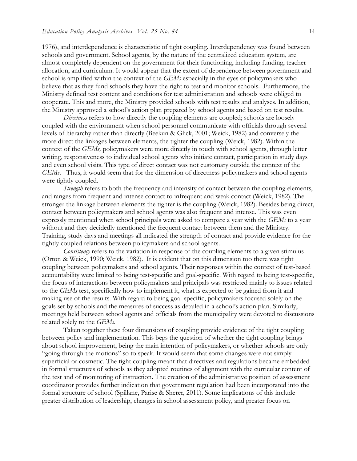1976), and interdependence is characteristic of tight coupling. Interdependency was found between schools and government. School agents, by the nature of the centralized education system, are almost completely dependent on the government for their functioning, including funding, teacher allocation, and curriculum. It would appear that the extent of dependence between government and school is amplified within the context of the *GEMs* especially in the eyes of policymakers who believe that as they fund schools they have the right to test and monitor schools. Furthermore, the Ministry defined test content and conditions for test administration and schools were obliged to cooperate. This and more, the Ministry provided schools with test results and analyses. In addition, the Ministry approved a school's action plan prepared by school agents and based on test results.

*Directness* refers to how directly the coupling elements are coupled; schools are loosely coupled with the environment when school personnel communicate with officials through several levels of hierarchy rather than directly (Beekun & Glick, 2001; Weick, 1982) and conversely the more direct the linkages between elements, the tighter the coupling (Weick, 1982). Within the context of the *GEMs,* policymakers were more directly in touch with school agents, through letter writing, responsiveness to individual school agents who initiate contact, participation in study days and even school visits. This type of direct contact was not customary outside the context of the *GEMs*. Thus, it would seem that for the dimension of directness policymakers and school agents were tightly coupled.

*Strength* refers to both the frequency and intensity of contact between the coupling elements, and ranges from frequent and intense contact to infrequent and weak contact (Weick, 1982). The stronger the linkage between elements the tighter is the coupling (Weick, 1982). Besides being direct, contact between policymakers and school agents was also frequent and intense. This was even expressly mentioned when school principals were asked to compare a year with the *GEMs* to a year without and they decidedly mentioned the frequent contact between them and the Ministry. Training, study days and meetings all indicated the strength of contact and provide evidence for the tightly coupled relations between policymakers and school agents.

*Consistency* refers to the variation in response of the coupling elements to a given stimulus (Orton & Weick, 1990; Weick, 1982). It is evident that on this dimension too there was tight coupling between policymakers and school agents. Their responses within the context of test-based accountability were limited to being test-specific and goal-specific. With regard to being test-specific, the focus of interactions between policymakers and principals was restricted mainly to issues related to the *GEMs* test, specifically how to implement it, what is expected to be gained from it and making use of the results. With regard to being goal-specific, policymakers focused solely on the goals set by schools and the measures of success as detailed in a school's action plan. Similarly, meetings held between school agents and officials from the municipality were devoted to discussions related solely to the *GEMs*.

Taken together these four dimensions of coupling provide evidence of the tight coupling between policy and implementation. This begs the question of whether the tight coupling brings about school improvement, being the main intention of policymakers, or whether schools are only "going through the motions" so to speak. It would seem that some changes were not simply superficial or cosmetic. The tight coupling meant that directives and regulations became embedded in formal structures of schools as they adopted routines of alignment with the curricular content of the test and of monitoring of instruction. The creation of the administrative position of assessment coordinator provides further indication that government regulation had been incorporated into the formal structure of school (Spillane, Parise & Sherer, 2011). Some implications of this include greater distribution of leadership, changes in school assessment policy, and greater focus on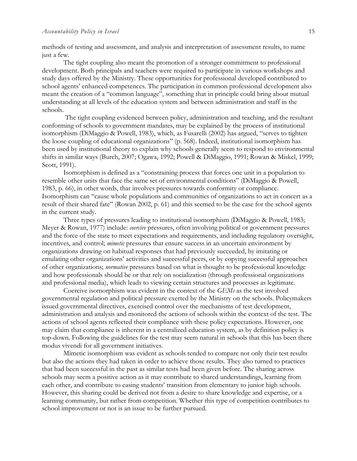methods of testing and assessment, and analysis and interpretation of assessment results, to name just a few.

The tight coupling also meant the promotion of a stronger commitment to professional development. Both principals and teachers were required to participate in various workshops and study days offered by the Ministry. These opportunities for professional developed contributed to school agents' enhanced competences. The participation in common professional development also meant the creation of a "common language", something that in principle could bring about mutual understanding at all levels of the education system and between administration and staff in the schools.

The tight coupling evidenced between policy, administration and teaching, and the resultant conforming of schools to government mandates, may be explained by the process of institutional isomorphism (DiMaggio & Powell, 1983), which, as Fusarelli (2002) has argued, "serves to tighten the loose coupling of educational organizations" (p. 568). Indeed, institutional isomorphism has been used by institutional theory to explain why schools generally seem to respond to environmental shifts in similar ways (Burch, 2007; Ogawa, 1992; Powell & DiMaggio, 1991; Rowan & Miskel, 1999; Scott, 1991).

Isomorphism is defined as a "constraining process that forces one unit in a population to resemble other units that face the same set of environmental conditions" (DiMaggio & Powell, 1983, p. 66), in other words, that involves pressures towards conformity or compliance. Isomorphism can "cause whole populations and communities of organizations to act in concert as a result of their shared fate" (Rowan 2002, p. 61) and this seemed to be the case for the school agents in the current study.

Three types of pressures leading to institutional isomorphism (DiMaggio & Powell, 1983; Meyer & Rowan, 1977) include: *coercive* pressures, often involving political or government pressures and the force of the state to meet expectations and requirements, and including regulatory oversight, incentives, and control; *mimetic* pressures that ensure success in an uncertain environment by organizations drawing on habitual responses that had previously succeeded, by imitating or emulating other organizations' activities and successful peers, or by copying successful approaches of other organizations; *normative* pressures based on what is thought to be professional knowledge and how professionals should be or that rely on socialization (through professional organizations and professional media), which leads to viewing certain structures and processes as legitimate.

Coercive isomorphism was evident in the context of the *GEMs* as the test involved governmental regulation and political pressure exerted by the Ministry on the schools. Policymakers issued governmental directives, exercised control over the mechanisms of test development, administration and analysis and monitored the actions of schools within the context of the test. The actions of school agents reflected their compliance with these policy expectations. However, one may claim that compliance is inherent in a centralized education system, as by definition policy is top-down. Following the guidelines for the test may seem natural in schools that this has been there modus vivendi for all government initiatives.

Mimetic isomorphism was evident as schools tended to compare not only their test results but also the actions they had taken in order to achieve those results. They also turned to practices that had been successful in the past as similar tests had been given before. The sharing across schools may seem a positive action as it may contribute to shared understandings, learning from each other, and contribute to easing students' transition from elementary to junior high schools. However, this sharing could be derived not from a desire to share knowledge and expertise, or a learning community, but rather from competition. Whether this type of competition contributes to school improvement or not is an issue to be further pursued.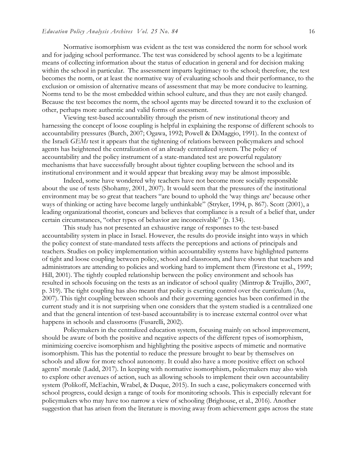Normative isomorphism was evident as the test was considered the norm for school work and for judging school performance. The test was considered by school agents to be a legitimate means of collecting information about the status of education in general and for decision making within the school in particular. The assessment imparts legitimacy to the school; therefore, the test becomes the norm, or at least the normative way of evaluating schools and their performance, to the exclusion or omission of alternative means of assessment that may be more conducive to learning. Norms tend to be the most embedded within school culture, and thus they are not easily changed. Because the test becomes the norm, the school agents may be directed toward it to the exclusion of other, perhaps more authentic and valid forms of assessment.

Viewing test-based accountability through the prism of new institutional theory and harnessing the concept of loose coupling is helpful in explaining the response of different schools to accountability pressures (Burch, 2007; Ogawa, 1992; Powell & DiMaggio, 1991). In the context of the Israeli *GEMs* test it appears that the tightening of relations between policymakers and school agents has heightened the centralization of an already centralized system. The policy of accountability and the policy instrument of a state-mandated test are powerful regulatory mechanisms that have successfully brought about tighter coupling between the school and its institutional environment and it would appear that breaking away may be almost impossible.

Indeed, some have wondered why teachers have not become more socially responsible about the use of tests (Shohamy, 2001, 2007). It would seem that the pressures of the institutional environment may be so great that teachers "are bound to uphold the 'way things are' because other ways of thinking or acting have become largely unthinkable" (Stryker, 1994, p. 867). Scott (2001), a leading organizational theorist, concurs and believes that compliance is a result of a belief that, under certain circumstances, "other types of behavior are inconceivable" (p. 134).

This study has not presented an exhaustive range of responses to the test-based accountability system in place in Israel. However, the results do provide insight into ways in which the policy context of state-mandated tests affects the perceptions and actions of principals and teachers. Studies on policy implementation within accountability systems have highlighted patterns of tight and loose coupling between policy, school and classroom, and have shown that teachers and administrators are attending to policies and working hard to implement them (Firestone et al., 1999; Hill, 2001). The tightly coupled relationship between the policy environment and schools has resulted in schools focusing on the tests as an indicator of school quality (Mintrop & Trujillo, 2007, p. 319). The tight coupling has also meant that policy is exerting control over the curriculum (Au, 2007). This tight coupling between schools and their governing agencies has been confirmed in the current study and it is not surprising when one considers that the system studied is a centralized one and that the general intention of test-based accountability is to increase external control over what happens in schools and classrooms (Fusarelli, 2002).

Policymakers in the centralized education system, focusing mainly on school improvement, should be aware of both the positive and negative aspects of the different types of isomorphism, minimizing coercive isomorphism and highlighting the positive aspects of mimetic and normative isomorphism. This has the potential to reduce the pressure brought to bear by themselves on schools and allow for more school autonomy. It could also have a more positive effect on school agents' morale (Ladd, 2017). In keeping with normative isomorphism, policymakers may also wish to explore other avenues of action, such as allowing schools to implement their own accountability system (Polikoff, McEachin, Wrabel, & Duque, 2015). In such a case, policymakers concerned with school progress, could design a range of tools for monitoring schools. This is especially relevant for policymakers who may have too narrow a view of schooling (Brighouse, et al., 2016). Another suggestion that has arisen from the literature is moving away from achievement gaps across the state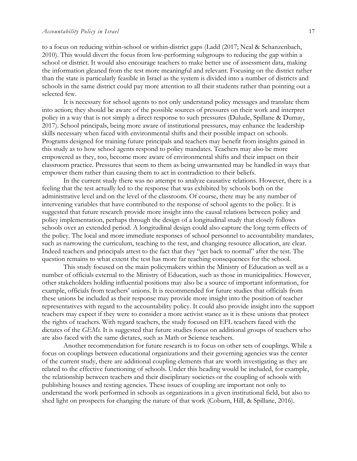#### *Accountability Policy in Israel* 17

to a focus on reducing within-school or within-district gaps (Ladd (2017; Neal & Schanzenbach, 2010). This would divert the focus from low-performing subgroups to reducing the gap within a school or district. It would also encourage teachers to make better use of assessment data, making the information gleaned from the test more meaningful and relevant. Focusing on the district rather than the state is particularly feasible in Israel as the system is divided into a number of districts and schools in the same district could pay more attention to all their students rather than pointing out a selected few.

It is necessary for school agents to not only understand policy messages and translate them into action; they should be aware of the possible sources of pressures on their work and interpret policy in a way that is not simply a direct response to such pressures (Dulude, Spillane & Dumay, 2017). School principals, being more aware of institutional pressures, may enhance the leadership skills necessary when faced with environmental shifts and their possible impact on schools. Programs designed for training future principals and teachers may benefit from insights gained in this study as to how school agents respond to policy mandates. Teachers may also be more empowered as they, too, become more aware of environmental shifts and their impact on their classroom practice. Pressures that seem to them as being unwarranted may be handled in ways that empower them rather than causing them to act in contradiction to their beliefs.

In the current study there was no attempt to analyze causative relations. However, there is a feeling that the test actually led to the response that was exhibited by schools both on the administrative level and on the level of the classroom. Of course, there may be any number of intervening variables that have contributed to the response of school agents to the policy. It is suggested that future research provide more insight into the causal relations between policy and policy implementation, perhaps through the design of a longitudinal study that closely follows schools over an extended period. A longitudinal design could also capture the long term effects of the policy. The local and more immediate responses of school personnel to accountability mandates, such as narrowing the curriculum, teaching to the test, and changing resource allocation, are clear. Indeed teachers and principals attest to the fact that they "get back to normal" after the test. The question remains to what extent the test has more far reaching consequences for the school.

This study focused on the main policymakers within the Ministry of Education as well as a number of officials external to the Ministry of Education, such as those in municipalities. However, other stakeholders holding influential positions may also be a source of important information, for example, officials from teachers' unions. It is recommended for future studies that officials from these unions be included as their response may provide more insight into the position of teacher representatives with regard to the accountability policy. It could also provide insight into the support teachers may expect if they were to consider a more activist stance as it is these unions that protect the rights of teachers. With regard teachers, the study focused on EFL teachers faced with the dictates of the *GEMs*. It is suggested that future studies focus on additional groups of teachers who are also faced with the same dictates, such as Math or Science teachers.

Another recommendation for future research is to focus on other sets of couplings. While a focus on couplings between educational organizations and their governing agencies was the center of the current study, there are additional coupling elements that are worth investigating as they are related to the effective functioning of schools. Under this heading would be included, for example, the relationship between teachers and their disciplinary societies or the coupling of schools with publishing houses and testing agencies. These issues of coupling are important not only to understand the work performed in schools as organizations in a given institutional field, but also to shed light on prospects for changing the nature of that work (Coburn, Hill, & Spillane, 2016).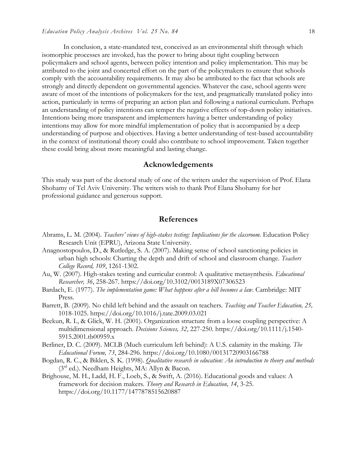In conclusion, a state-mandated test, conceived as an environmental shift through which isomorphic processes are invoked, has the power to bring about tight coupling between policymakers and school agents, between policy intention and policy implementation. This may be attributed to the joint and concerted effort on the part of the policymakers to ensure that schools comply with the accountability requirements. It may also be attributed to the fact that schools are strongly and directly dependent on governmental agencies. Whatever the case, school agents were aware of most of the intentions of policymakers for the test, and pragmatically translated policy into action, particularly in terms of preparing an action plan and following a national curriculum. Perhaps an understanding of policy intentions can temper the negative effects of top-down policy initiatives. Intentions being more transparent and implementers having a better understanding of policy intentions may allow for more mindful implementation of policy that is accompanied by a deep understanding of purpose and objectives. Having a better understanding of test-based accountability in the context of institutional theory could also contribute to school improvement. Taken together these could bring about more meaningful and lasting change.

## **Acknowledgements**

This study was part of the doctoral study of one of the writers under the supervision of Prof. Elana Shohamy of Tel Aviv University. The writers wish to thank Prof Elana Shohamy for her professional guidance and generous support.

## **References**

- Abrams, L. M. (2004). *Teachers' views of high-stakes testing: Implications for the classroom.* Education Policy Research Unit (EPRU), Arizona State University.
- Anagnostopoulos, D., & Rutledge, S. A. (2007). Making sense of school sanctioning policies in urban high schools: Charting the depth and drift of school and classroom change. *Teachers College Record, 109*, 1261-1302.
- Au, W. (2007). High-stakes testing and curricular control: A qualitative metasynthesis. *Educational Researcher, 36*, 258-267. https://doi.org/10.3102/0013189X07306523
- Bardach, E. (1977). *The implementation game: What happens after a bill becomes a law*. Cambridge: MIT Press.
- Barrett, B. (2009). No child left behind and the assault on teachers. *Teaching and Teacher Education, 25,*  1018-1025. https://doi.org/10.1016/j.tate.2009.03.021
- Beekun, R. I., & Glick, W. H. (2001). Organization structure from a loose coupling perspective: A multidimensional approach. *Decisions Sciences, 32*, 227-250. https://doi.org/10.1111/j.1540- 5915.2001.tb00959.x
- Berliner, D. C. (2009). MCLB (Much curriculum left behind): A U.S. calamity in the making. *The Educational Forum, 73*, 284-296. https://doi.org/10.1080/00131720903166788
- Bogdan, R. C., & Biklen, S. K. (1998). *Qualitative research in education: An introduction to theory and methods* (3rd ed.). Needham Heights, MA: Allyn & Bacon.
- Brighouse, M. H., Ladd, H. F., Loeb, S., & Swift, A. (2016). Educational goods and values: A framework for decision makers. *Theory and Research in Education, 14*, 3-25. https://doi.org/10.1177/1477878515620887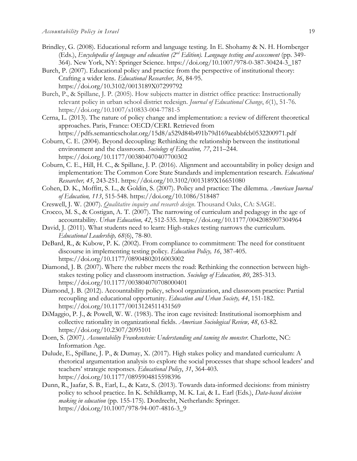- Brindley, G. (2008). Educational reform and language testing. In E. Shohamy & N. H. Hornberger (Eds.), *Encyclopedia of language and education (2nd Edition). Language testing and assessment* (pp. 349- 364). New York, NY: Springer Science. https://doi.org/10.1007/978-0-387-30424-3\_187
- Burch, P. (2007). Educational policy and practice from the perspective of institutional theory: Crafting a wider lens. *Educational Researcher, 36*, 84-95. https://doi.org/10.3102/0013189X07299792
- Burch, P., & Spillane, J. P. (2005). How subjects matter in district office practice: Instructionally relevant policy in urban school district redesign. *Journal of Educational Change*, *6*(1), 51-76. https://doi.org/10.1007/s10833-004-7781-5
- Cerna, L. (2013). The nature of policy change and implementation: a review of different theoretical approaches. Paris, France: OECD/CERI. Retrieved from https://pdfs.semanticscholar.org/15d8/a529d84b491b79d169aeabbfcb0532200971.pdf
- Coburn, C. E. (2004). Beyond decoupling: Rethinking the relationship between the institutional environment and the classroom. *Sociology of Education, 77*, 211–244. https://doi.org/10.1177/003804070407700302
- Coburn, C. E., Hill, H. C., & Spillane, J. P. (2016). Alignment and accountability in policy design and implementation: The Common Core State Standards and implementation research. *Educational Researcher, 45*, 243-251. https://doi.org/10.3102/0013189X16651080
- Cohen, D. K., Moffitt, S. L., & Goldin, S. (2007). Policy and practice: The dilemma. *American Journal of Education, 113*, 515-548. https://doi.org/10.1086/518487
- Creswell, J. W. (2007). *Qualitative inquiry and research design*. Thousand Oaks, CA: SAGE.
- Crocco, M. S., & Costigan, A. T. (2007). The narrowing of curriculum and pedagogy in the age of accountability. *Urban Education, 42*, 512-535. https://doi.org/10.1177/0042085907304964
- David, J. (2011). What students need to learn: High-stakes testing narrows the curriculum. *Educational Leadership, 68*(6), 78-80.
- DeBard, R., & Kubow, P. K. (2002). From compliance to commitment: The need for constituent discourse in implementing testing policy. *Education Policy, 16*, 387-405. https://doi.org/10.1177/08904802016003002
- Diamond, J. B. (2007). Where the rubber meets the road: Rethinking the connection between highstakes testing policy and classroom instruction. *Sociology of Education, 80*, 285-313. https://doi.org/10.1177/003804070708000401
- Diamond, J. B. (2012). Accountability policy, school organization, and classroom practice: Partial recoupling and educational opportunity. *Education and Urban Society, 44*, 151-182. https://doi.org/10.1177/0013124511431569
- DiMaggio, P. J., & Powell, W. W. (1983). The iron cage revisited: Institutional isomorphism and collective rationality in organizational fields. *American Sociological Review, 48*, 63-82. https://doi.org/10.2307/2095101
- Dorn, S. (2007). *Accountability Frankenstein: Understanding and taming the monster.* Charlotte, NC: Information Age.
- Dulude, E., Spillane, J. P., & Dumay, X. (2017). High stakes policy and mandated curriculum: A rhetorical argumentation analysis to explore the social processes that shape school leaders' and teachers' strategic responses. *Educational Policy*, *31*, 364-403. https://doi.org/10.1177/0895904815598396
- Dunn, R., Jaafar, S. B., Earl, L., & Katz, S. (2013). Towards data-informed decisions: from ministry policy to school practice. In K. Schildkamp, M. K. Lai, & L. Earl (Eds.), *Data-based decision making in education* (pp. 155-175). Dordrecht, Netherlands: Springer. https://doi.org/10.1007/978-94-007-4816-3\_9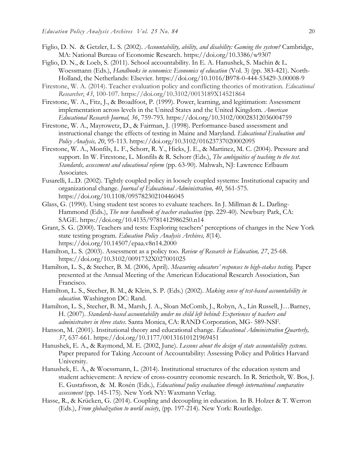- Figlio, D. N. & Getzler, L. S. (2002). *Accountability, ability, and disability: Gaming the system?* Cambridge, MA: National Bureau of Economic Research. https://doi.org/10.3386/w9307
- Figlio, D. N., & Loeb, S. (2011). School accountability. In E. A. Hanushek, S. Machin & L. Woessmann (Eds.), *Handbooks in economics: Economics of education* (Vol. 3) (pp. 383-421). North-Holland, the Netherlands: Elsevier. https://doi.org/10.1016/B978-0-444-53429-3.00008-9
- Firestone, W. A. (2014). Teacher evaluation policy and conflicting theories of motivation. *Educational Researcher*, *43*, 100-107. https://doi.org/10.3102/0013189X14521864
- Firestone, W. A., Fitz, J., & Broadfoot, P. (1999). Power, learning, and legitimation: Assessment implementation across levels in the United States and the United Kingdom. *American Educational Research Journal, 36*, 759-793. https://doi.org/10.3102/00028312036004759
- Firestone, W. A., Mayrowetz, D., & Fairman, J. (1998). Performance-based assessment and instructional change the effects of testing in Maine and Maryland. *Educational Evaluation and Policy Analysis, 20*, 95-113. https://doi.org/10.3102/01623737020002095
- Firestone, W. A., Monfils, L. F., Schorr, R. Y., Hicks, J. E., & Martinez, M. C. (2004). Pressure and support. In W. Firestone, L. Monfils & R. Schorr (Eds.), *The ambiguities of teaching to the test. Standards, assessment and educational reform* (pp. 63-90). Mahwah, NJ: Lawrence Erlbaum Associates.
- Fusarelli, L..D. (2002). Tightly coupled policy in loosely coupled systems: Institutional capacity and organizational change. *Journal of Educational Administration, 40*, 561-575. https://doi.org/10.1108/09578230210446045
- Glass, G. (1990). Using student test scores to evaluate teachers. In J. Millman & L. Darling-Hammond (Eds.), *The new handbook of teacher evaluation* (pp. 229-40). Newbury Park, CA: SAGE. https://doi.org/10.4135/9781412986250.n14
- Grant, S. G. (2000). Teachers and tests: Exploring teachers' perceptions of changes in the New York state testing program*. Education Policy Analysis Archives, 8*(14). https://doi.org/10.14507/epaa.v8n14.2000
- Hamilton, L. S. (2003). Assessment as a policy too. *Review of Research in Education, 27*, 25-68. https://doi.org/10.3102/0091732X027001025
- Hamilton, L. S., & Stecher, B. M. (2006, April). *Measuring educators' responses to high-stakes testing.* Paper presented at the Annual Meeting of the American Educational Research Association, San Francisco.
- Hamilton, L. S., Stecher, B. M., & Klein, S. P. (Eds.) (2002). *Making sense of test-based accountability in education.* Washington DC: Rand.
- Hamilton, L. S., Stecher, B. M., Marsh, J. A., Sloan McComb, J., Robyn, A., Lin Russell, J…Barney, H. (2007). *Standards-based accountability under no child left behind: Experiences of teachers and administrators in three states*. Santa Monica, CA: RAND Corporation, MG- 589-NSF.
- Hanson, M. (2001). Institutional theory and educational change. *Educational Administration Quarterly, 37*, 637-661. https://doi.org/10.1177/00131610121969451
- Hanushek, E. A., & Raymond, M. E. (2002, June). *Lessons about the design of state accountability systems.*  Paper prepared for Taking Account of Accountability: Assessing Policy and Politics Harvard University.
- Hanushek, E. A., & Woessmann, L. (2014). Institutional structures of the education system and student achievement: A review of cross-country economic research. In R. Strietholt, W. Bos, J. E. Gustafsson, & M. Rosén (Eds.)*, Educational policy evaluation through international comparative assessment* (pp. 145-175). New York NY: Waxmann Verlag.
- Hasse, R., & Krücken, G. (2014). Coupling and decoupling in education. In B. Holzer & T. Werron (Eds.), *From globalization to world society*, (pp. 197-214). New York: Routledge.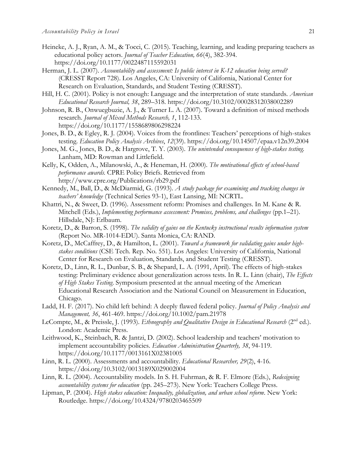- Heineke, A. J., Ryan, A. M., & Tocci, C. (2015). Teaching, learning, and leading preparing teachers as educational policy actors. *Journal of Teacher Education, 66*(4), 382-394. https://doi.org/10.1177/0022487115592031
- Herman, J. L. (2007). *Accountability and assessment: Is public interest in K-12 education being served?*  (CRESST Report 728). Los Angeles, CA: University of California, National Center for Research on Evaluation, Standards, and Student Testing (CRESST).
- Hill, H. C. (2001). Policy is not enough: Language and the interpretation of state standards. *American Educational Research Journal, 38*, 289–318. https://doi.org/10.3102/00028312038002289
- Johnson, R. B., Onwuegbuzie, A. J., & Turner L. A. (2007). Toward a definition of mixed methods research. *Journal of Mixed Methods Research, 1*, 112-133. https://doi.org/10.1177/1558689806298224
- Jones, B. D., & Egley, R. J. (2004). Voices from the frontlines: Teachers' perceptions of high-stakes testing. *Education Policy Analysis Archives*, *12*(39). https://doi.org/10.14507/epaa.v12n39.2004
- Jones, M. G., Jones, B. D., & Hargrove, T. Y. (2003). *The unintended consequences of high-stakes testing.* Lanham, MD: Rowman and Littlefield.
- Kelly, K, Odden, A., Milanowski, A., & Heneman, H. (2000). *The motivational effects of school-based performance awards.* CPRE Policy Briefs. Retrieved from http://www.cpre.org/Publications/rb29.pdf
- Kennedy, M., Ball, D., & McDiarmid, G. (1993). *A study package for examining and tracking changes in teachers' knowledge* (Technical Series 93-1), East Lansing, MI: NCRTL.
- Khattri, N., & Sweet, D. (1996). Assessment reform: Promises and challenges. In M. Kane & R. Mitchell (Eds.), *Implementing performance assessment: Promises, problems, and challenges* (pp.1–21). Hillsdale, NJ: Erlbaum.
- Koretz, D., & Barron, S. (1998). *The validity of gains on the Kentucky instructional results information system*  (Report No. MR-1014-EDU). Santa Monica, CA: RAND.
- Koretz, D., McCaffrey, D., & Hamilton, L. (2001). *Toward a framework for validating gains under highstakes conditions* (CSE Tech. Rep. No. 551). Los Angeles: University of California, National Center for Research on Evaluation, Standards, and Student Testing (CRESST).
- Koretz, D., Linn, R. L., Dunbar, S. B., & Shepard, L. A. (1991, April). The effects of high-stakes testing: Preliminary evidence about generalization across tests. In R. L. Linn (chair), *The Effects of High Stakes Testing*. Symposium presented at the annual meeting of the American Educational Research Association and the National Council on Measurement in Education, Chicago.
- Ladd, H. F. (2017). No child left behind: A deeply flawed federal policy. *Journal of Policy Analysis and Management, 36*, 461-469. https://doi.org/10.1002/pam.21978
- LeCompte, M., & Preissle, J. (1993). *Ethnography and Qualitative Design in Educational Research* (2<sup>nd</sup> ed.). London: Academic Press.
- Leithwood, K., Steinbach, R. & Jantzi, D. (2002). School leadership and teachers' motivation to implement accountability policies. *Education Administration Quarterly, 38*, 94-119. https://doi.org/10.1177/0013161X02381005
- Linn, R. L. (2000). Assessments and accountability. *Educational Researcher, 29*(2), 4-16. https://doi.org/10.3102/0013189X029002004
- Linn, R. L. (2004). Accountability models. In S. H. Fuhrman, & R. F. Elmore (Eds.), *Redesigning accountability systems for education* (pp. 245–273). New York: Teachers College Press.
- Lipman, P. (2004). *High stakes education: Inequality, globalization, and urban school reform*. New York: Routledge. https://doi.org/10.4324/9780203465509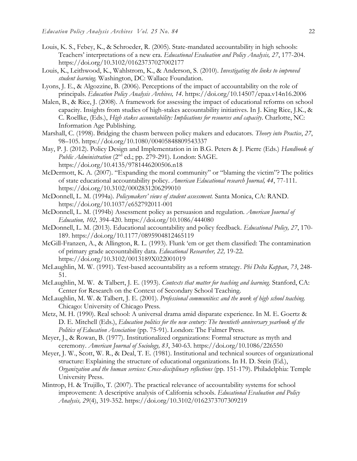- Louis, K. S., Febey, K., & Schroeder, R. (2005). State-mandated accountability in high schools: Teachers' interpretations of a new era. *Educational Evaluation and Policy Analysis, 27*, 177-204. https://doi.org/10.3102/01623737027002177
- Louis, K., Leithwood, K., Wahlstrom, K., & Anderson, S. (2010). *Investigating the links to improved student learning.* Washington, DC: Wallace Foundation.
- Lyons, J. E., & Algozzine, B. (2006). Perceptions of the impact of accountability on the role of principals. *Education Policy Analysis Archives, 14*. https://doi.org/10.14507/epaa.v14n16.2006
- Malen, B., & Rice, J. (2008). A framework for assessing the impact of educational reforms on school capacity. Insights from studies of high-stakes accountability initiatives. In J. King Rice, J.K., & C. Roellke, (Eds.), *High stakes accountability: Implications for resources and capacity*. Charlotte, NC: Information Age Publishing.
- Marshall, C. (1998). Bridging the chasm between policy makers and educators. *Theory into Practice*, *27*, 98–105. https://doi.org/10.1080/00405848809543337
- May, P. J. (2012). Policy Design and Implementation in in B.G. Peters & J. Pierre (Eds.) *Handbook of Public Administration* (2nd ed.; pp. 279-291). London: SAGE. https://doi.org/10.4135/9781446200506.n18
- McDermott, K. A. (2007). "Expanding the moral community" or "blaming the victim"? The politics of state educational accountability policy. *American Educational research Journal, 44*, 77-111. https://doi.org/10.3102/0002831206299010
- McDonnell, L. M. (1994a). *Policymakers' views of student assessment.* Santa Monica, CA: RAND. https://doi.org/10.1037/e652792011-001
- McDonnell, L. M. (1994b) Assessment policy as persuasion and regulation. *American Journal of Education, 102,* 394-420. https://doi.org/10.1086/444080
- McDonnell, L. M. (2013). Educational accountability and policy feedback. *Educational Policy, 27*, 170- 189. https://doi.org/10.1177/0895904812465119
- McGill-Franzen, A., & Allington, R. L. (1993). Flunk 'em or get them classified: The contamination of primary grade accountability data. *Educational Researcher, 22,* 19-22. https://doi.org/10.3102/0013189X022001019
- McLaughlin, M. W. (1991). Test-based accountability as a reform strategy. *Phi Delta Kappan*, *73*, 248- 51.
- McLaughlin, M. W. & Talbert, J. E. (1993). *Contexts that matter for teaching and learning*. Stanford, CA: Center for Research on the Context of Secondary School Teaching.
- McLaughlin, M. W. & Talbert, J. E. (2001). *Professional communities: and the work of high school teaching.* Chicago: University of Chicago Press.
- Metz, M. H. (1990). Real school: A universal drama amid disparate experience. In M. E. Goertz & D. E. Mitchell (Eds.), *Education politics for the new century: The twentieth anniversary yearbook of the Politics of Education Association* (pp. 75-91). London: The Falmer Press.
- Meyer, J., & Rowan, B. (1977). Institutionalized organizations: Formal structure as myth and ceremony. *American Journal of Sociology, 83*, 340-63. https://doi.org/10.1086/226550
- Meyer, J. W., Scott, W. R., & Deal, T. E. (1981). Institutional and technical sources of organizational structure: Explaining the structure of educational organizations. In H. D. Stein (Ed.), *Organization and the human services: Cross-disciplinary reflections* (pp. 151-179). Philadelphia: Temple University Press.
- Mintrop, H. & Trujillo, T. (2007). The practical relevance of accountability systems for school improvement: A descriptive analysis of California schools. *Educational Evaluation and Policy Analysis, 29*(4), 319-352. https://doi.org/10.3102/0162373707309219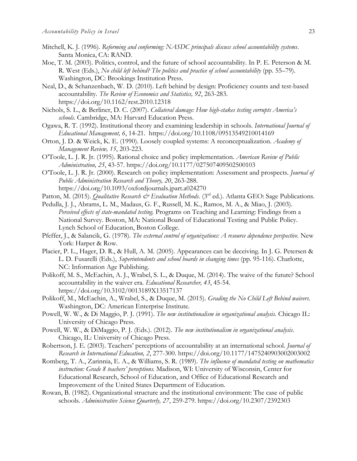- Mitchell, K. J. (1996). *Reforming and conforming: NASDC principals discuss school accountability systems*. Santa Monica, CA: RAND.
- Moe, T. M. (2003). Politics, control, and the future of school accountability. In P. E. Peterson & M. R. West (Eds.), *No child left behind? The politics and practice of school accountability* (pp. 55–79). Washington, DC: Brookings Institution Press.
- Neal, D., & Schanzenbach, W. D. (2010). Left behind by design: Proficiency counts and test-based accountability. *The Review of Economics and Statistics, 92*, 263-283. https://doi.org/10.1162/rest.2010.12318
- Nichols, S. L., & Berliner, D. C. (2007). *Collateral damage: How high-stakes testing corrupts America's schools.* Cambridge, MA: Harvard Education Press.
- Ogawa, R. T. (1992). Institutional theory and examining leadership in schools. *International Journal of Educational Management, 6*, 14-21. https://doi.org/10.1108/09513549210014169
- Orton, J. D. & Weick, K. E. (1990). Loosely coupled systems: A reconceptualization. *Academy of Management Review, 15*, 203-223.
- O'Toole, L. J. R. Jr. (1995). Rational choice and policy implementation. *American Review of Public Administration, 25*, 43-57. https://doi.org/10.1177/027507409502500103
- O'Toole, L. J. R. Jr. (2000). Research on policy implementation: Assessment and prospects. *Journal of Public Administration Research and Theory, 20*, 263-288. https://doi.org/10.1093/oxfordjournals.jpart.a024270
- Patton, M. (2015). *Qualitative Research & Evaluation Methods.* (3<sup>rd</sup> ed.). Atlanta GEO: Sage Publications.
- Pedulla, J. J., Abrams, L. M., Madaus, G. F., Russell, M. K., Ramos, M. A., & Miao, J. (2003). *Perceived effects of state-mandated testing.* Programs on Teaching and Learning: Findings from a National Survey. Boston, MA: National Board of Educational Testing and Public Policy. Lynch School of Education, Boston College.
- Pfeffer, J., & Salancik, G. (1978). *The external control of organizations: A resource dependence perspective*. New York: Harper & Row.
- Placier, P. L., Hager, D. R., & Hull, A. M. (2005). Appearances can be deceiving. In J. G. Petersen & L. D. Fusarelli (Eds.), *Superintendents and school boards in changing times* (pp. 95-116). Charlotte, NC: Information Age Publishing.
- Polikoff, M. S., McEachin, A. J., Wrabel, S. L., & Duque, M. (2014). The waive of the future? School accountability in the waiver era. *Educational Researcher, 43*, 45-54. https://doi.org/10.3102/0013189X13517137
- Polikoff, M., McEachin, A., Wrabel, S., & Duque, M. (2015). *Grading the No Child Left Behind waivers*. Washington, DC: American Enterprise Institute.
- Powell, W. W., & Di Maggio, P. J. (1991). *The new institutionalism in organizational analysis.* Chicago IL: University of Chicago Press.
- Powell, W. W., & DiMaggio, P. J. (Eds.). (2012). *The new institutionalism in organizational analysis*. Chicago, IL: University of Chicago Press.
- Robertson, J. E. (2003). Teachers' perceptions of accountability at an international school. *Journal of Research in International Education, 2*, 277-300. https://doi.org/10.1177/1475240903002003002
- Romberg, T. A., Zarinnia, E. A., & Williams, S. R. (1989). *The influence of mandated testing on mathematics instruction: Grade 8 teachers' perceptions.* Madison, WI: University of Wisconsin, Center for Educational Research, School of Education, and Office of Educational Research and Improvement of the United States Department of Education.
- Rowan, B. (1982). Organizational structure and the institutional environment: The case of public schools. *Administrative Science Quarterly, 27*, 259-279. https://doi.org/10.2307/2392303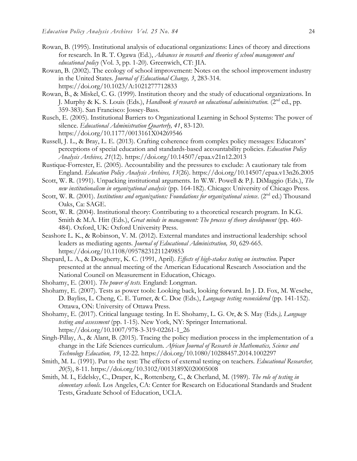- Rowan, B. (1995). Institutional analysis of educational organizations: Lines of theory and directions for research. In R. T. Ogawa (Ed.), *Advances in research and theories of school management and educational policy* (Vol. 3, pp. 1-20). Greenwich, CT: JIA.
- Rowan, B. (2002). The ecology of school improvement: Notes on the school improvement industry in the United States. *Journal of Educational Change, 3*, 283-314. https://doi.org/10.1023/A:1021277712833
- Rowan, B., & Miskel, C. G. (1999). Institution theory and the study of educational organizations. In J. Murphy & K. S. Louis (Eds.), *Handbook of research on educational administration*. (2<sup>nd</sup> ed., pp. 359-383). San Francisco: Jossey-Bass.
- Rusch, E. (2005). Institutional Barriers to Organizational Learning in School Systems: The power of silence. *Educational Administration Quarterly, 41*, 83-120. https://doi.org/10.1177/0013161X04269546
- Russell, J. L., & Bray, L. E. (2013). Crafting coherence from complex policy messages: Educators' perceptions of special education and standards-based accountability policies. *Education Policy Analysis Archives, 21*(12). https://doi.org/10.14507/epaa.v21n12.2013
- Rustique-Forrester, E. (2005). Accountability and the pressures to exclude: A cautionary tale from England. *Education Policy Analysis Archives, 13*(26). https://doi.org/10.14507/epaa.v13n26.2005
- Scott, W. R. (1991). Unpacking institutional arguments. In W.W. Powell & P.J. DiMaggio (Eds.), *The new institutionalism in organizational analysis* (pp. 164-182). Chicago: University of Chicago Press.
- Scott, W. R. (2001). *Institutions and organizations: Foundations for organizational science*. (2<sup>nd</sup> ed.) Thousand Oaks, Ca: SAGE.
- Scott, W. R. (2004). Institutional theory: Contributing to a theoretical research program. In K.G. Smith & M.A. Hitt (Eds.), *Great minds in management: The process of theory development* (pp. 460-484). Oxford, UK: Oxford University Press.
- Seashore L. K., & Robinson, V. M. (2012). External mandates and instructional leadership: school leaders as mediating agents. *Journal of Educational Administration, 50*, 629-665. https://doi.org/10.1108/09578231211249853
- Shepard, L. A., & Dougherty, K. C. (1991, April). *Effects of high-stakes testing on instruction*. Paper presented at the annual meeting of the American Educational Research Association and the National Council on Measurement in Education, Chicago.
- Shohamy, E. (2001). *The power of tests.* England: Longman.
- Shohamy, E. (2007). Tests as power tools: Looking back, looking forward. In J. D. Fox, M. Wesche, D. Bayliss, L. Cheng, C. E. Turner, & C. Doe (Eds.), *Language testing reconsidered* (pp. 141-152). Ottawa, ON: University of Ottawa Press.
- Shohamy, E. (2017). Critical language testing. In E. Shohamy, L. G. Or, & S. May (Eds*.), Language testing and assessment* (pp. 1-15). New York, NY: Springer International. https://doi.org/10.1007/978-3-319-02261-1\_26
- Singh-Pillay, A., & Alant, B. (2015). Tracing the policy mediation process in the implementation of a change in the Life Sciences curriculum. *African Journal of Research in Mathematics, Science and Technology Education, 19*, 12-22. https://doi.org/10.1080/10288457.2014.1002297
- Smith, M. L. (1991). Put to the test: The effects of external testing on teachers. *Educational Researcher, 20*(5), 8-11. https://doi.org/10.3102/0013189X020005008
- Smith, M. L, Edelsky, C., Draper, K., Rottenberg, C., & Cherland, M. (1989). *The role of testing in elementary schools.* Los Angeles, CA: Center for Research on Educational Standards and Student Tests, Graduate School of Education, UCLA.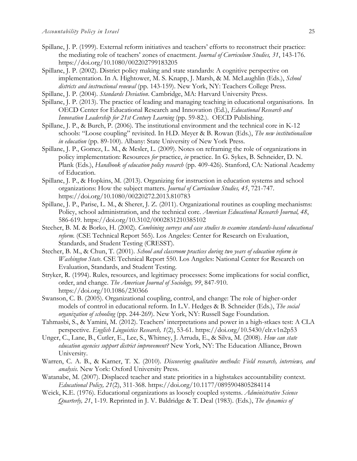- Spillane, J. P. (1999). External reform initiatives and teachers' efforts to reconstruct their practice: the mediating role of teachers' zones of enactment. *Journal of Curriculum Studies, 31*, 143-176. https://doi.org/10.1080/002202799183205
- Spillane, J. P. (2002). District policy making and state standards: A cognitive perspective on implementation. In A. Hightower, M. S. Knapp, J. Marsh, & M. McLaughlin (Eds.), *School districts and instructional renewal* (pp. 143-159). New York, NY: Teachers College Press.
- Spillane, J. P. (2004). *Standards Deviation*. Cambridge, MA: Harvard University Press.
- Spillane, J. P. (2013). The practice of leading and managing teaching in educational organisations. In OECD Center for Educational Research and Innovation (Ed.), *Educational Research and Innovation Leadership for 21st Century Learning* (pp. 59-82.). OECD Publishing.
- Spillane, J. P., & Burch, P. (2006). The institutional environment and the technical core in K-12 schools: "Loose coupling" revisited. In H.D. Meyer & B. Rowan (Eds.), *The new institutionalism in education* (pp. 89-100). Albany: State University of New York Press.
- Spillane, J. P., Gomez, L. M., & Mesler, L. (2009). Notes on reframing the role of organizations in policy implementation: Resources *for* practice, *in* practice. In G. Sykes, B. Schneider, D. N. Plank (Eds.), *Handbook of education policy research* (pp. 409-426). Stanford, CA: National Academy of Education.
- Spillane, J. P., & Hopkins, M. (2013). Organizing for instruction in education systems and school organizations: How the subject matters. *Journal of Curriculum Studies, 45*, 721-747. https://doi.org/10.1080/00220272.2013.810783
- Spillane, J. P., Parise, L. M., & Sherer, J. Z. (2011). Organizational routines as coupling mechanisms: Policy, school administration, and the technical core. *American Educational Research Journal, 48*, 586-619. https://doi.org/10.3102/0002831210385102
- Stecher, B. M. & Borko, H. (2002). *Combining surveys and case studies to examine standards-based educational reform.* (CSE Technical Report 565). Los Angeles: Center for Research on Evaluation, Standards, and Student Testing (CRESST).
- Stecher, B. M., & Chun, T. (2001). *School and classroom practices during two years of education reform in Washington State*. CSE Technical Report 550. Los Angeles: National Center for Research on Evaluation, Standards, and Student Testing.
- Stryker, R. (1994). Rules, resources, and legitimacy processes: Some implications for social conflict, order, and change. *The American Journal of Sociology, 99*, 847-910. https://doi.org/10.1086/230366
- Swanson, C. B. (2005). Organizational coupling, control, and change: The role of higher-order models of control in educational reform. In L.V. Hedges & B. Schneider (Eds.), *The social organization of schooling* (pp. 244-269). New York, NY: Russell Sage Foundation.
- Tahmasbi, S., & Yamini, M. (2012). Teachers' interpretations and power in a high-stkaes test: A CLA perspective. *English Linguistics Research, 1*(2), 53-61. https://doi.org/10.5430/elr.v1n2p53
- Unger, C., Lane, B., Cutler, E., Lee, S., Whitney, J. Arruda, E., & Silva, M. (2008). *How can state education agencies support district improvement?* New York, NY: The Education Alliance, Brown University.
- Warren, C. A. B., & Karner, T. X. (2010). *Discovering qualitative methods: Field research, interviews, and analysis.* New York: Oxford University Press.
- Watanabe, M. (2007). Displaced teacher and state priorities in a highstakes accountability context. *Educational Policy, 21*(2), 311-368. https://doi.org/10.1177/0895904805284114
- Weick, K.E. (1976). Educational organizations as loosely coupled systems. *Administrative Science Quarterly, 21*, 1-19. Reprinted in J. V. Baldridge & T. Deal (1983). (Eds.), *The dynamics of*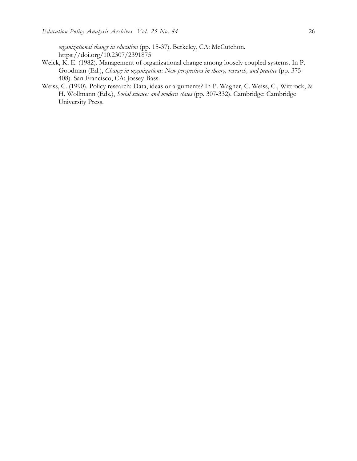*organizational change in education* (pp. 15-37). Berkeley, CA: McCutchon. https://doi.org/10.2307/2391875

- Weick, K. E. (1982). Management of organizational change among loosely coupled systems. In P. Goodman (Ed.), *Change in organizations: New perspectives in theory, research, and practice* (pp. 375- 408). San Francisco, CA: Jossey-Bass.
- Weiss, C. (1990). Policy research: Data, ideas or arguments? In P. Wagner, C. Weiss, C., Wittrock, & H. Wollmann (Eds.), *Social sciences and modern states* (pp. 307-332). Cambridge: Cambridge University Press.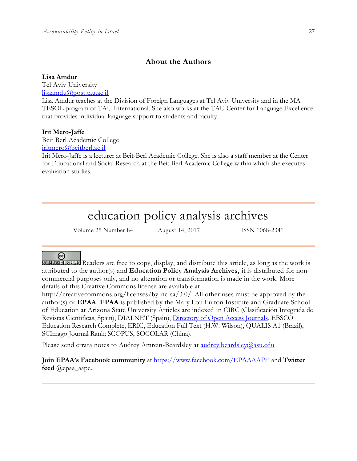## **About the Authors**

**Lisa Amdur**

Tel Aviv University [lisaamdu@post.tau.ac.il](mailto:lisaamdu@post.tau.ac.il)

Lisa Amdur teaches at the Division of Foreign Languages at Tel Aviv University and in the MA TESOL program of TAU International. She also works at the TAU Center for Language Excellence that provides individual language support to students and faculty.

## **Irit Mero-Jaffe**

Beit Berl Academic College

[iritmero@beitberl.ac.il](mailto:iritmero@beitberl.ac.il)

Irit Mero-Jaffe is a lecturer at Beit-Berl Academic College. She is also a staff member at the Center for Educational and Social Research at the Beit Berl Academic College within which she executes evaluation studies.

# education policy analysis archives

Volume 25 Number 84 August 14, 2017 ISSN 1068-2341

## ര

SOME RIGHTS RESERVED Readers are free to copy, display, and distribute this article, as long as the work is attributed to the author(s) and **Education Policy Analysis Archives,** it is distributed for noncommercial purposes only, and no alteration or transformation is made in the work. More details of this Creative Commons license are available at

http://creativecommons.org/licenses/by-nc-sa/3.0/. All other uses must be approved by the author(s) or **EPAA**. **EPAA** is published by the Mary Lou Fulton Institute and Graduate School of Education at Arizona State University Articles are indexed in CIRC (Clasificación Integrada de Revistas Científicas, Spain), DIALNET (Spain), [Directory of Open Access Journals,](http://www.doaj.org/) EBSCO Education Research Complete, ERIC, Education Full Text (H.W. Wilson), QUALIS A1 (Brazil), SCImago Journal Rank; SCOPUS, SOCOLAR (China).

Please send errata notes to Audrey Amrein-Beardsley at [audrey.beardsley@asu.edu](mailto:audrey.beardsley@asu.edu)

**Join EPAA's Facebook community** at<https://www.facebook.com/EPAAAAPE> and **Twitter feed** @epaa\_aape.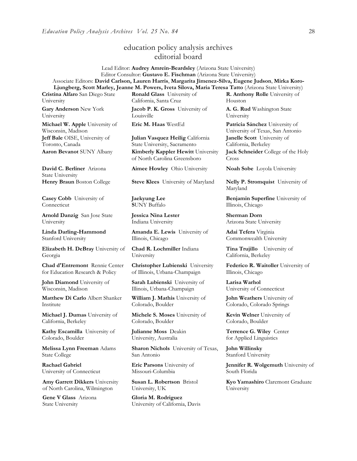# education policy analysis archives editorial board

Lead Editor: **Audrey Amrein-Beardsley** (Arizona State University) Editor Consultor: **Gustavo E. Fischman** (Arizona State University) Associate Editors: **David Carlson, Lauren Harris**, **Margarita Jimenez-Silva, Eugene Judson**, **Mirka Koro-Ljungberg, Scott Marley, Jeanne M. Powers, Iveta Silova, Maria Teresa Tatto** (Arizona State University)

**Cristina Alfaro** San Diego State University

**Gary Anderson** New York University

**Michael W. Apple** University of Wisconsin, Madison **Jeff Bale** OISE, University of Toronto, Canada

**David C. Berliner** Arizona State University

**Casey Cobb** University of **Connecticut** 

**Arnold Danzig** San Jose State University

**Linda Darling-Hammond**  Stanford University

**Elizabeth H. DeBray** University of Georgia

**Chad d'Entremont** Rennie Center for Education Research & Policy

**John Diamond** University of Wisconsin, Madison

**Matthew Di Carlo** Albert Shanker Institute

**Michael J. Dumas** University of California, Berkeley

**Kathy Escamilla** University of Colorado, Boulder

**Melissa Lynn Freeman** Adams State College

**Rachael Gabriel** University of Connecticut

**Amy Garrett Dikkers** University of North Carolina, Wilmington

**Gene V Glass** Arizona State University

**Ronald Glass** University of California, Santa Cruz

**Jacob P. K. Gross** University of Louisville

**Julian Vasquez Heilig** California State University, Sacramento **Aaron Bevanot** SUNY Albany **Kimberly Kappler Hewitt** University of North Carolina Greensboro

**Aimee Howley** Ohio University **Noah Sobe** Loyola University

**Henry Braun** Boston College **Steve Klees** University of Maryland **Nelly P. Stromquist** University of

**Jaekyung Lee S**UNY Buffalo

**Jessica Nina Lester** Indiana University

**Amanda E. Lewis** University of Illinois, Chicago

**Chad R. Lochmiller** Indiana University

**Christopher Lubienski** University of Illinois, Urbana-Champaign

**Sarah Lubienski** University of Illinois, Urbana-Champaign

**William J. Mathis** University of Colorado, Boulder

**Michele S. Moses** University of Colorado, Boulder

**Julianne Moss** Deakin University, Australia

**Sharon Nichols** University of Texas, San Antonio

**Eric Parsons** University of Missouri-Columbia

**Susan L. Robertson** Bristol University, UK

**Gloria M. Rodriguez** University of California, Davis **R. Anthony Rolle** University of Houston

**A. G. Rud** Washington State University

**Eric M. Haas** WestEd **Patricia Sánchez** University of University of Texas, San Antonio **Janelle Scott** University of California, Berkeley

> **Jack Schneider** College of the Holy Cross

Maryland

**Benjamin Superfine** University of Illinois, Chicago

**Sherman Dorn** Arizona State University

**Adai Tefera** Virginia Commonwealth University

**Tina Trujillo** University of California, Berkeley

**Federico R. Waitoller** University of Illinois, Chicago

**Larisa Warhol** University of Connecticut

**John Weathers** University of Colorado, Colorado Springs

**Kevin Welner** University of Colorado, Boulder

**Terrence G. Wiley** Center for Applied Linguistics

**John Willinsky**  Stanford University

**Jennifer R. Wolgemuth** University of South Florida

**Kyo Yamashiro** Claremont Graduate University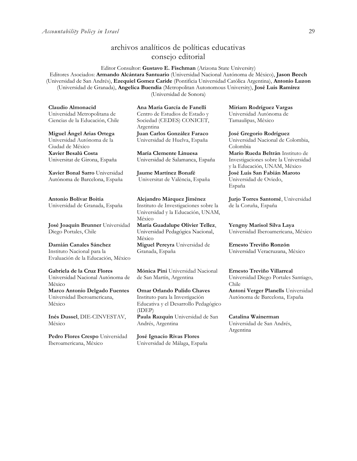# archivos analíticos de políticas educativas consejo editorial

Editor Consultor: **Gustavo E. Fischman** (Arizona State University) Editores Asociados: **Armando Alcántara Santuario** (Universidad Nacional Autónoma de México), **Jason Beech** (Universidad de San Andrés), **Ezequiel Gomez Caride** (Pontificia Universidad Católica Argentina), **Antonio Luzon** (Universidad de Granada), **Angelica Buendia** (Metropolitan Autonomous University), **José Luis Ramírez** (Universidad de Sonora)

**Claudio Almonacid** Universidad Metropolitana de Ciencias de la Educación, Chile

**Miguel Ángel Arias Ortega**  Universidad Autónoma de la Ciudad de México **Xavier Besalú Costa**  Universitat de Girona, España

**[Xavier Bonal](javascript:openRTWindow() Sarro** Universidad Autónoma de Barcelona, España

**[Antonio Bolívar](javascript:openRTWindow() Boitia** Universidad de Granada, España

**[José Joaquín Brunner](javascript:openRTWindow()** Universidad Diego Portales, Chile

**[Damián Canales Sánchez](javascript:openRTWindow()** Instituto Nacional para la Evaluación de la Educación, México

**Gabriela de la Cruz Flores** Universidad Nacional Autónoma de México **[Marco Antonio Delgado Fuentes](javascript:openRTWindow()** Universidad Iberoamericana, México

**[Inés Dussel](javascript:openRTWindow()**, DIE-CINVESTAV, México

**[Pedro Flores Crespo](javascript:openRTWindow()** Universidad Iberoamericana, México

**Ana María García de Fanelli**  Centro de Estudios de Estado y Sociedad (CEDES) CONICET, Argentina **Juan Carlos González Faraco**  Universidad de Huelva, España

**María Clemente Linuesa**  Universidad de Salamanca, España

**Jaume Martínez Bonafé** Universitat de València, España

**Alejandro Márquez Jiménez**  Instituto de Investigaciones sobre la Universidad y la Educación, UNAM, México

**María Guadalupe Olivier Tellez**, Universidad Pedagógica Nacional, México

**[Miguel Pereyra](javascript:openRTWindow()** Universidad de Granada, España

**[Mónica Pini](javascript:openRTWindow()** Universidad Nacional de San Martín, Argentina

**Omar Orlando Pulido Chaves** Instituto para la Investigación Educativa y el Desarrollo Pedagógico (IDEP) **[Paula Razquin](javascript:openRTWindow()** Universidad de San Andrés, Argentina

**José Ignacio Rivas Flores** Universidad de Málaga, España **[Miriam Rodríguez Vargas](javascript:openRTWindow()** Universidad Autónoma de Tamaulipas, México

**José Gregorio Rodríguez**  Universidad Nacional de Colombia, Colombia **[Mario Rueda Beltrán](javascript:openRTWindow()** Instituto de Investigaciones sobre la Universidad y la Educación, UNAM, México **José Luis San Fabián Maroto**  Universidad de Oviedo, España

**[Jurjo Torres Santomé](javascript:openRTWindow()**, Universidad de la Coruña, España

**[Yengny Marisol Silva Laya](javascript:openRTWindow()** Universidad Iberoamericana, México

**Ernesto Treviño Ronzón** Universidad Veracruzana, México

**[Ernesto Treviño](javascript:openRTWindow() Villarreal** Universidad Diego Portales Santiago, Chile

**[Antoni Verger Planells](javascript:openRTWindow()** Universidad Autónoma de Barcelona, España

**[Catalina Wainerman](javascript:openRTWindow()** Universidad de San Andrés, Argentina